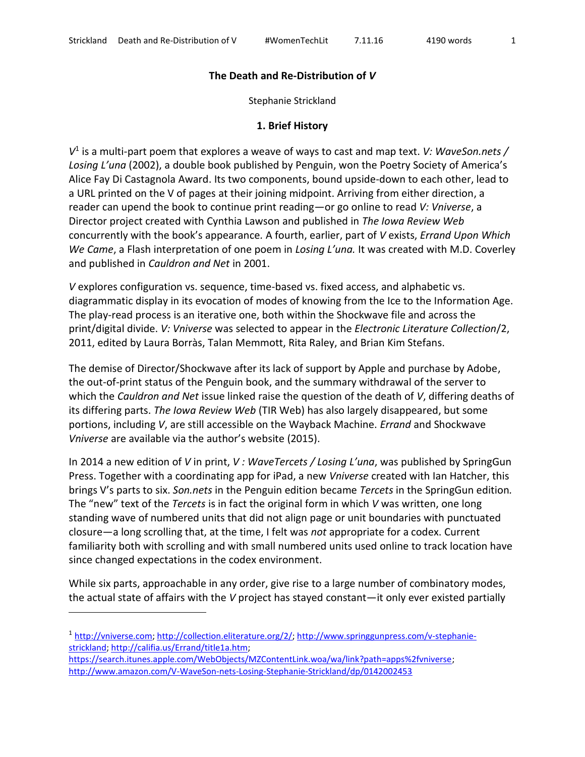## **The Death and Re-Distribution of** *V*

Stephanie Strickland

## **1. Brief History**

*V* 1 is a multi-part poem that explores a weave of ways to cast and map text. *V: WaveSon.nets / Losing L'una* (2002), a double book published by Penguin, won the Poetry Society of America's Alice Fay Di Castagnola Award. Its two components, bound upside-down to each other, lead to a URL printed on the V of pages at their joining midpoint. Arriving from either direction, a reader can upend the book to continue print reading—or go online to read *V: Vniverse*, a Director project created with Cynthia Lawson and published in *The Iowa Review Web* concurrently with the book's appearance*.* A fourth, earlier, part of *V* exists, *Errand Upon Which We Came*, a Flash interpretation of one poem in *Losing L'una.* It was created with M.D. Coverley and published in *Cauldron and Net* in 2001.

*V* explores configuration vs. sequence, time-based vs. fixed access, and alphabetic vs. diagrammatic display in its evocation of modes of knowing from the Ice to the Information Age. The play-read process is an iterative one, both within the Shockwave file and across the print/digital divide. *V: Vniverse* was selected to appear in the *Electronic Literature Collection*/2, 2011, edited by Laura Borràs, Talan Memmott, Rita Raley, and Brian Kim Stefans.

The demise of Director/Shockwave after its lack of support by Apple and purchase by Adobe, the out-of-print status of the Penguin book, and the summary withdrawal of the server to which the *Cauldron and Net* issue linked raise the question of the death of *V*, differing deaths of its differing parts. *The Iowa Review Web* (TIR Web) has also largely disappeared, but some portions, including *V*, are still accessible on the Wayback Machine. *Errand* and Shockwave *Vniverse* are available via the author's website (2015).

In 2014 a new edition of *V* in print, *V : WaveTercets / Losing L'una*, was published by SpringGun Press. Together with a coordinating app for iPad, a new *Vniverse* created with Ian Hatcher, this brings V's parts to six. *Son.nets* in the Penguin edition became *Tercets* in the SpringGun edition*.* The "new" text of the *Tercets* is in fact the original form in which *V* was written, one long standing wave of numbered units that did not align page or unit boundaries with punctuated closure—a long scrolling that, at the time, I felt was *not* appropriate for a codex. Current familiarity both with scrolling and with small numbered units used online to track location have since changed expectations in the codex environment.

While six parts, approachable in any order, give rise to a large number of combinatory modes, the actual state of affairs with the *V* project has stayed constant—it only ever existed partially

[https://search.itunes.apple.com/WebObjects/MZContentLink.woa/wa/link?path=apps%2fvniverse;](https://search.itunes.apple.com/WebObjects/MZContentLink.woa/wa/link?path=apps%2fvniverse) <http://www.amazon.com/V-WaveSon-nets-Losing-Stephanie-Strickland/dp/0142002453>

<sup>&</sup>lt;sup>1</sup> [http://vniverse.com;](http://vniverse.com/) [http://collection.eliterature.org/2/;](http://collection.eliterature.org/2/) [http://www.springgunpress.com/v-stephanie](http://www.springgunpress.com/v-stephanie-strickland)[strickland;](http://www.springgunpress.com/v-stephanie-strickland) [http://califia.us/Errand/title1a.htm;](http://califia.us/Errand/title1a.htm)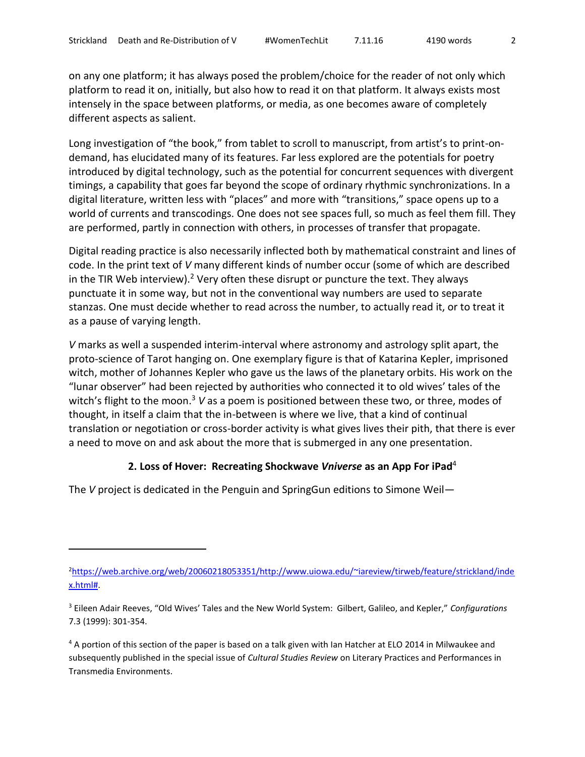on any one platform; it has always posed the problem/choice for the reader of not only which platform to read it on, initially, but also how to read it on that platform. It always exists most intensely in the space between platforms, or media, as one becomes aware of completely different aspects as salient.

Long investigation of "the book," from tablet to scroll to manuscript, from artist's to print-ondemand, has elucidated many of its features. Far less explored are the potentials for poetry introduced by digital technology, such as the potential for concurrent sequences with divergent timings, a capability that goes far beyond the scope of ordinary rhythmic synchronizations. In a digital literature, written less with "places" and more with "transitions," space opens up to a world of currents and transcodings. One does not see spaces full, so much as feel them fill. They are performed, partly in connection with others, in processes of transfer that propagate.

Digital reading practice is also necessarily inflected both by mathematical constraint and lines of code. In the print text of *V* many different kinds of number occur (some of which are described in the TIR Web interview).<sup>2</sup> Very often these disrupt or puncture the text. They always punctuate it in some way, but not in the conventional way numbers are used to separate stanzas. One must decide whether to read across the number, to actually read it, or to treat it as a pause of varying length.

*V* marks as well a suspended interim-interval where astronomy and astrology split apart, the proto-science of Tarot hanging on. One exemplary figure is that of Katarina Kepler, imprisoned witch, mother of Johannes Kepler who gave us the laws of the planetary orbits. His work on the "lunar observer" had been rejected by authorities who connected it to old wives' tales of the witch's flight to the moon.<sup>3</sup> V as a poem is positioned between these two, or three, modes of thought, in itself a claim that the in-between is where we live, that a kind of continual translation or negotiation or cross-border activity is what gives lives their pith, that there is ever a need to move on and ask about the more that is submerged in any one presentation.

## **2. Loss of Hover: Recreating Shockwave** *Vniverse* **as an App For iPad**<sup>4</sup>

The *V* project is dedicated in the Penguin and SpringGun editions to Simone Weil—

<sup>2</sup>[https://web.archive.org/web/20060218053351/http://www.uiowa.edu/~iareview/tirweb/feature/strickland/inde](https://web.archive.org/web/20060218053351/http:/www.uiowa.edu/~iareview/tirweb/feature/strickland/index.html) [x.html#.](https://web.archive.org/web/20060218053351/http:/www.uiowa.edu/~iareview/tirweb/feature/strickland/index.html)

<sup>3</sup> Eileen Adair Reeves, "Old Wives' Tales and the New World System: Gilbert, Galileo, and Kepler," *Configurations* 7.3 (1999): 301-354.

<sup>&</sup>lt;sup>4</sup> A portion of this section of the paper is based on a talk given with Ian Hatcher at ELO 2014 in Milwaukee and subsequently published in the special issue of *Cultural Studies Review* on Literary Practices and Performances in Transmedia Environments.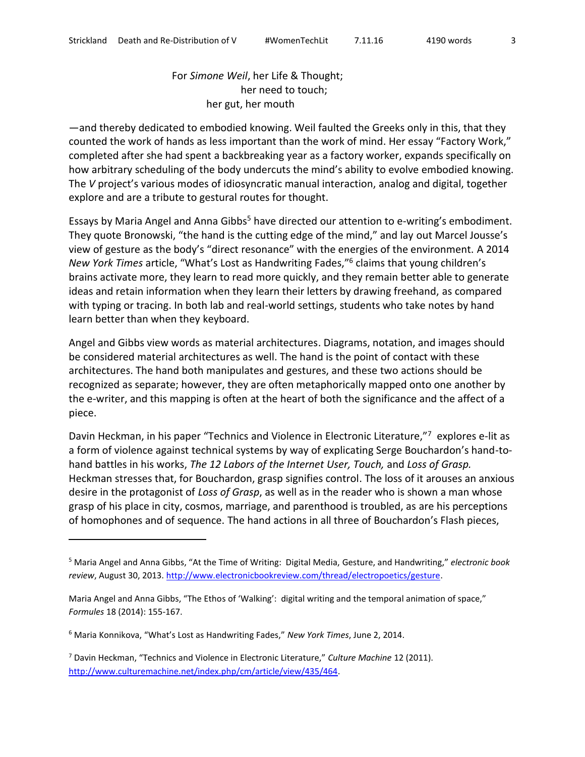## For *Simone Weil*, her Life & Thought; her need to touch; her gut, her mouth

—and thereby dedicated to embodied knowing. Weil faulted the Greeks only in this, that they counted the work of hands as less important than the work of mind. Her essay "Factory Work," completed after she had spent a backbreaking year as a factory worker, expands specifically on how arbitrary scheduling of the body undercuts the mind's ability to evolve embodied knowing. The *V* project's various modes of idiosyncratic manual interaction, analog and digital, together explore and are a tribute to gestural routes for thought.

Essays by Maria Angel and Anna Gibbs<sup>5</sup> have directed our attention to e-writing's embodiment. They quote Bronowski, "the hand is the cutting edge of the mind," and lay out Marcel Jousse's view of gesture as the body's "direct resonance" with the energies of the environment. A 2014 *New York Times* article, "What's Lost as Handwriting Fades," 6 claims that young children's brains activate more, they learn to read more quickly, and they remain better able to generate ideas and retain information when they learn their letters by drawing freehand, as compared with typing or tracing. In both lab and real-world settings, students who take notes by hand learn better than when they keyboard.

Angel and Gibbs view words as material architectures. Diagrams, notation, and images should be considered material architectures as well. The hand is the point of contact with these architectures. The hand both manipulates and gestures, and these two actions should be recognized as separate; however, they are often metaphorically mapped onto one another by the e-writer, and this mapping is often at the heart of both the significance and the affect of a piece.

Davin Heckman, in his paper "Technics and Violence in Electronic Literature,"<sup>7</sup> explores e-lit as a form of violence against technical systems by way of explicating Serge Bouchardon's hand-tohand battles in his works, *The 12 Labors of the Internet User, Touch,* and *Loss of Grasp.* Heckman stresses that, for Bouchardon, grasp signifies control. The loss of it arouses an anxious desire in the protagonist of *Loss of Grasp*, as well as in the reader who is shown a man whose grasp of his place in city, cosmos, marriage, and parenthood is troubled, as are his perceptions of homophones and of sequence. The hand actions in all three of Bouchardon's Flash pieces,

<sup>5</sup> Maria Angel and Anna Gibbs, "At the Time of Writing: Digital Media, Gesture, and Handwriting," *electronic book review*, August 30, 2013. [http://www.electronicbookreview.com/thread/electropoetics/gesture.](http://www.electronicbookreview.com/thread/electropoetics/gesture)

Maria Angel and Anna Gibbs, "The Ethos of 'Walking': digital writing and the temporal animation of space," *Formules* 18 (2014): 155-167.

<sup>6</sup> Maria Konnikova, "What's Lost as Handwriting Fades," *New York Times*, June 2, 2014.

<sup>7</sup> Davin Heckman, "Technics and Violence in Electronic Literature," *Culture Machine* 12 (2011). [http://www.culturemachine.net/index.php/cm/article/view/435/464.](http://www.culturemachine.net/index.php/cm/article/view/435/464)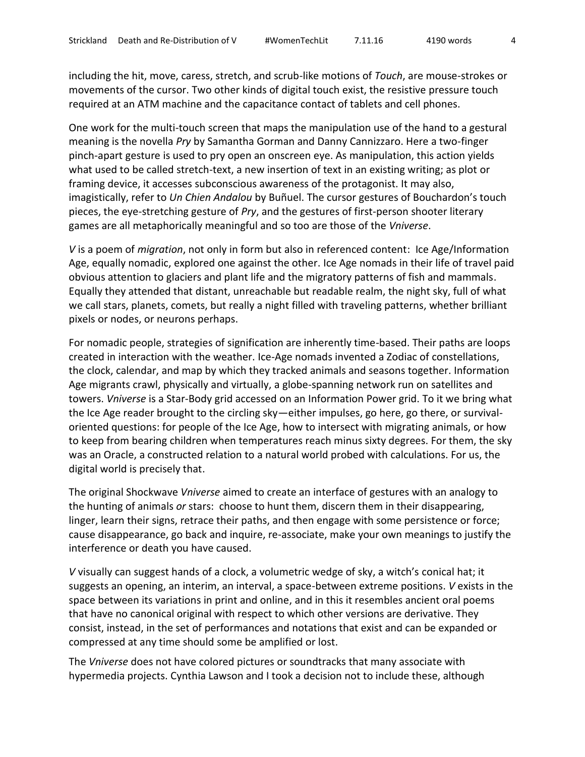including the hit, move, caress, stretch, and scrub-like motions of *Touch*, are mouse-strokes or movements of the cursor. Two other kinds of digital touch exist, the resistive pressure touch required at an ATM machine and the capacitance contact of tablets and cell phones.

One work for the multi-touch screen that maps the manipulation use of the hand to a gestural meaning is the novella *Pry* by Samantha Gorman and Danny Cannizzaro. Here a two-finger pinch-apart gesture is used to pry open an onscreen eye. As manipulation, this action yields what used to be called stretch-text, a new insertion of text in an existing writing; as plot or framing device, it accesses subconscious awareness of the protagonist. It may also, imagistically, refer to *Un Chien Andalou* by Buñuel. The cursor gestures of Bouchardon's touch pieces, the eye-stretching gesture of *Pry*, and the gestures of first-person shooter literary games are all metaphorically meaningful and so too are those of the *Vniverse*.

*V* is a poem of *migration*, not only in form but also in referenced content: Ice Age/Information Age, equally nomadic, explored one against the other. Ice Age nomads in their life of travel paid obvious attention to glaciers and plant life and the migratory patterns of fish and mammals. Equally they attended that distant, unreachable but readable realm, the night sky, full of what we call stars, planets, comets, but really a night filled with traveling patterns, whether brilliant pixels or nodes, or neurons perhaps.

For nomadic people, strategies of signification are inherently time-based. Their paths are loops created in interaction with the weather. Ice-Age nomads invented a Zodiac of constellations, the clock, calendar, and map by which they tracked animals and seasons together. Information Age migrants crawl, physically and virtually, a globe-spanning network run on satellites and towers. *Vniverse* is a Star-Body grid accessed on an Information Power grid. To it we bring what the Ice Age reader brought to the circling sky—either impulses, go here, go there, or survivaloriented questions: for people of the Ice Age, how to intersect with migrating animals, or how to keep from bearing children when temperatures reach minus sixty degrees. For them, the sky was an Oracle, a constructed relation to a natural world probed with calculations. For us, the digital world is precisely that.

The original Shockwave *Vniverse* aimed to create an interface of gestures with an analogy to the hunting of animals *or* stars: choose to hunt them, discern them in their disappearing, linger, learn their signs, retrace their paths, and then engage with some persistence or force; cause disappearance, go back and inquire, re-associate, make your own meanings to justify the interference or death you have caused.

*V* visually can suggest hands of a clock, a volumetric wedge of sky, a witch's conical hat; it suggests an opening, an interim, an interval, a space-between extreme positions. *V* exists in the space between its variations in print and online, and in this it resembles ancient oral poems that have no canonical original with respect to which other versions are derivative. They consist, instead, in the set of performances and notations that exist and can be expanded or compressed at any time should some be amplified or lost.

The *Vniverse* does not have colored pictures or soundtracks that many associate with hypermedia projects. Cynthia Lawson and I took a decision not to include these, although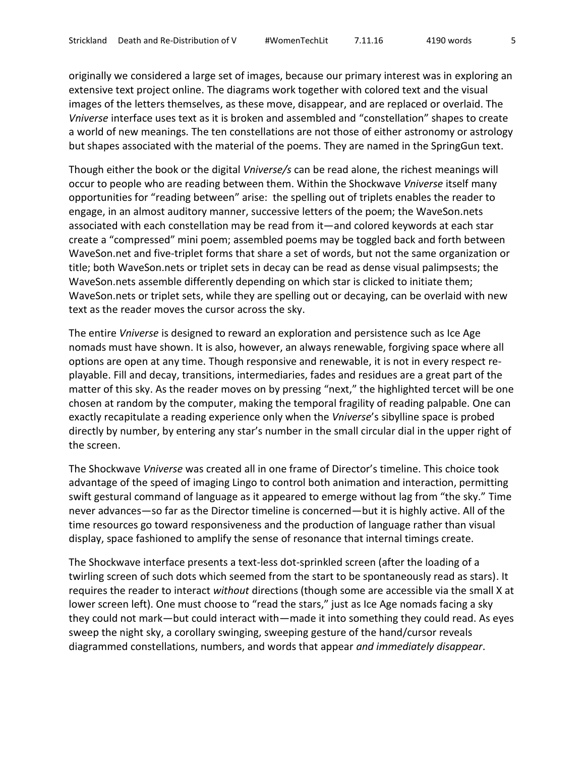originally we considered a large set of images, because our primary interest was in exploring an extensive text project online. The diagrams work together with colored text and the visual images of the letters themselves, as these move, disappear, and are replaced or overlaid. The *Vniverse* interface uses text as it is broken and assembled and "constellation" shapes to create a world of new meanings. The ten constellations are not those of either astronomy or astrology but shapes associated with the material of the poems. They are named in the SpringGun text.

Though either the book or the digital *Vniverse/s* can be read alone, the richest meanings will occur to people who are reading between them. Within the Shockwave *Vniverse* itself many opportunities for "reading between" arise: the spelling out of triplets enables the reader to engage, in an almost auditory manner, successive letters of the poem; the WaveSon.nets associated with each constellation may be read from it—and colored keywords at each star create a "compressed" mini poem; assembled poems may be toggled back and forth between WaveSon.net and five-triplet forms that share a set of words, but not the same organization or title; both WaveSon.nets or triplet sets in decay can be read as dense visual palimpsests; the WaveSon.nets assemble differently depending on which star is clicked to initiate them; WaveSon.nets or triplet sets, while they are spelling out or decaying, can be overlaid with new text as the reader moves the cursor across the sky.

The entire *Vniverse* is designed to reward an exploration and persistence such as Ice Age nomads must have shown. It is also, however, an always renewable, forgiving space where all options are open at any time. Though responsive and renewable, it is not in every respect replayable. Fill and decay, transitions, intermediaries, fades and residues are a great part of the matter of this sky. As the reader moves on by pressing "next," the highlighted tercet will be one chosen at random by the computer, making the temporal fragility of reading palpable. One can exactly recapitulate a reading experience only when the *Vniverse*'s sibylline space is probed directly by number, by entering any star's number in the small circular dial in the upper right of the screen.

The Shockwave *Vniverse* was created all in one frame of Director's timeline. This choice took advantage of the speed of imaging Lingo to control both animation and interaction, permitting swift gestural command of language as it appeared to emerge without lag from "the sky." Time never advances—so far as the Director timeline is concerned—but it is highly active. All of the time resources go toward responsiveness and the production of language rather than visual display, space fashioned to amplify the sense of resonance that internal timings create.

The Shockwave interface presents a text-less dot-sprinkled screen (after the loading of a twirling screen of such dots which seemed from the start to be spontaneously read as stars). It requires the reader to interact *without* directions (though some are accessible via the small X at lower screen left). One must choose to "read the stars," just as Ice Age nomads facing a sky they could not mark—but could interact with—made it into something they could read. As eyes sweep the night sky, a corollary swinging, sweeping gesture of the hand/cursor reveals diagrammed constellations, numbers, and words that appear *and immediately disappear*.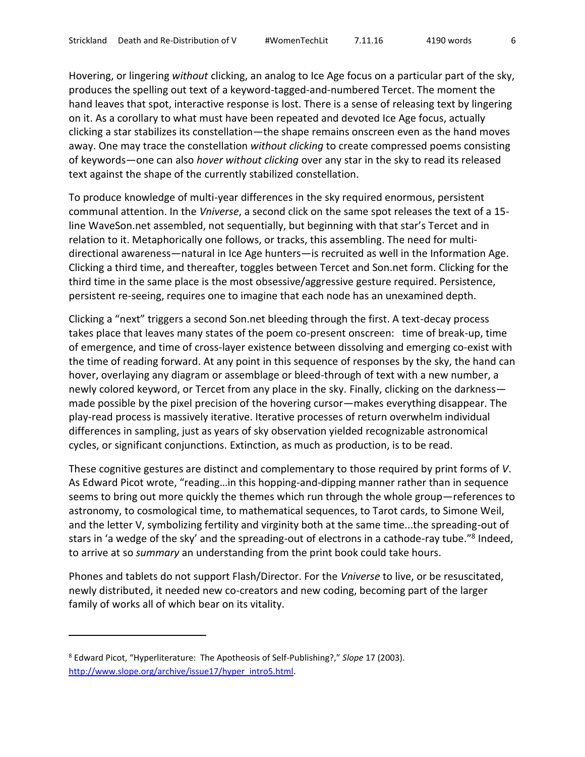Hovering, or lingering *without* clicking, an analog to Ice Age focus on a particular part of the sky, produces the spelling out text of a keyword-tagged-and-numbered Tercet. The moment the hand leaves that spot, interactive response is lost. There is a sense of releasing text by lingering on it. As a corollary to what must have been repeated and devoted Ice Age focus, actually clicking a star stabilizes its constellation—the shape remains onscreen even as the hand moves away. One may trace the constellation *without clicking* to create compressed poems consisting of keywords—one can also *hover without clicking* over any star in the sky to read its released text against the shape of the currently stabilized constellation.

To produce knowledge of multi-year differences in the sky required enormous, persistent communal attention. In the *Vniverse*, a second click on the same spot releases the text of a 15 line WaveSon.net assembled, not sequentially, but beginning with that star's Tercet and in relation to it. Metaphorically one follows, or tracks, this assembling. The need for multidirectional awareness—natural in Ice Age hunters—is recruited as well in the Information Age. Clicking a third time, and thereafter, toggles between Tercet and Son.net form. Clicking for the third time in the same place is the most obsessive/aggressive gesture required. Persistence, persistent re-seeing, requires one to imagine that each node has an unexamined depth.

Clicking a "next" triggers a second Son.net bleeding through the first. A text-decay process takes place that leaves many states of the poem co-present onscreen: time of break-up, time of emergence, and time of cross-layer existence between dissolving and emerging co-exist with the time of reading forward. At any point in this sequence of responses by the sky, the hand can hover, overlaying any diagram or assemblage or bleed-through of text with a new number, a newly colored keyword, or Tercet from any place in the sky. Finally, clicking on the darkness made possible by the pixel precision of the hovering cursor—makes everything disappear. The play-read process is massively iterative. Iterative processes of return overwhelm individual differences in sampling, just as years of sky observation yielded recognizable astronomical cycles, or significant conjunctions. Extinction, as much as production, is to be read.

These cognitive gestures are distinct and complementary to those required by print forms of *V*. As Edward Picot wrote, "reading…in this hopping-and-dipping manner rather than in sequence seems to bring out more quickly the themes which run through the whole group—references to astronomy, to cosmological time, to mathematical sequences, to Tarot cards, to Simone Weil, and the letter V, symbolizing fertility and virginity both at the same time...the spreading-out of stars in 'a wedge of the sky' and the spreading-out of electrons in a cathode-ray tube."<sup>8</sup> Indeed, to arrive at so *summary* an understanding from the print book could take hours.

Phones and tablets do not support Flash/Director. For the *Vniverse* to live, or be resuscitated, newly distributed, it needed new co-creators and new coding, becoming part of the larger family of works all of which bear on its vitality.

<sup>8</sup> Edward Picot, "Hyperliterature: The Apotheosis of Self-Publishing?," *Slope* 17 (2003). [http://www.slope.org/archive/issue17/hyper\\_intro5.html.](http://www.slope.org/archive/issue17/hyper_intro5.html)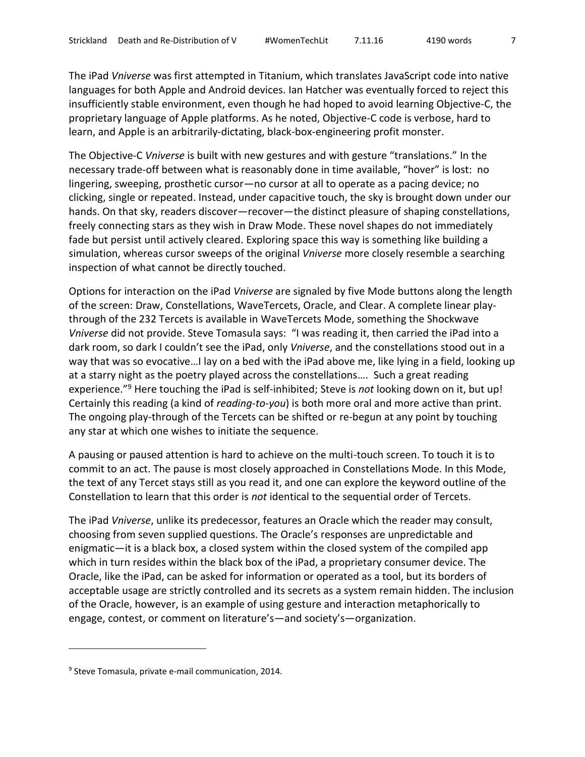The iPad *Vniverse* was first attempted in Titanium, which translates JavaScript code into native languages for both Apple and Android devices. Ian Hatcher was eventually forced to reject this insufficiently stable environment, even though he had hoped to avoid learning Objective-C, the proprietary language of Apple platforms. As he noted, Objective-C code is verbose, hard to learn, and Apple is an arbitrarily-dictating, black-box-engineering profit monster.

The Objective-C *Vniverse* is built with new gestures and with gesture "translations." In the necessary trade-off between what is reasonably done in time available, "hover" is lost: no lingering, sweeping, prosthetic cursor—no cursor at all to operate as a pacing device; no clicking, single or repeated. Instead, under capacitive touch, the sky is brought down under our hands. On that sky, readers discover—recover—the distinct pleasure of shaping constellations, freely connecting stars as they wish in Draw Mode. These novel shapes do not immediately fade but persist until actively cleared. Exploring space this way is something like building a simulation, whereas cursor sweeps of the original *Vniverse* more closely resemble a searching inspection of what cannot be directly touched.

Options for interaction on the iPad *Vniverse* are signaled by five Mode buttons along the length of the screen: Draw, Constellations, WaveTercets, Oracle, and Clear. A complete linear playthrough of the 232 Tercets is available in WaveTercets Mode, something the Shockwave *Vniverse* did not provide. Steve Tomasula says: "I was reading it, then carried the iPad into a dark room, so dark I couldn't see the iPad, only *Vniverse*, and the constellations stood out in a way that was so evocative…I lay on a bed with the iPad above me, like lying in a field, looking up at a starry night as the poetry played across the constellations…. Such a great reading experience."<sup>9</sup> Here touching the iPad is self-inhibited; Steve is *not* looking down on it, but up! Certainly this reading (a kind of *reading*-*to-you*) is both more oral and more active than print. The ongoing play-through of the Tercets can be shifted or re-begun at any point by touching any star at which one wishes to initiate the sequence.

A pausing or paused attention is hard to achieve on the multi-touch screen. To touch it is to commit to an act. The pause is most closely approached in Constellations Mode. In this Mode, the text of any Tercet stays still as you read it, and one can explore the keyword outline of the Constellation to learn that this order is *not* identical to the sequential order of Tercets.

The iPad *Vniverse*, unlike its predecessor, features an Oracle which the reader may consult, choosing from seven supplied questions. The Oracle's responses are unpredictable and enigmatic—it is a black box, a closed system within the closed system of the compiled app which in turn resides within the black box of the iPad, a proprietary consumer device. The Oracle, like the iPad, can be asked for information or operated as a tool, but its borders of acceptable usage are strictly controlled and its secrets as a system remain hidden. The inclusion of the Oracle, however, is an example of using gesture and interaction metaphorically to engage, contest, or comment on literature's—and society's—organization.

<sup>&</sup>lt;sup>9</sup> Steve Tomasula, private e-mail communication, 2014.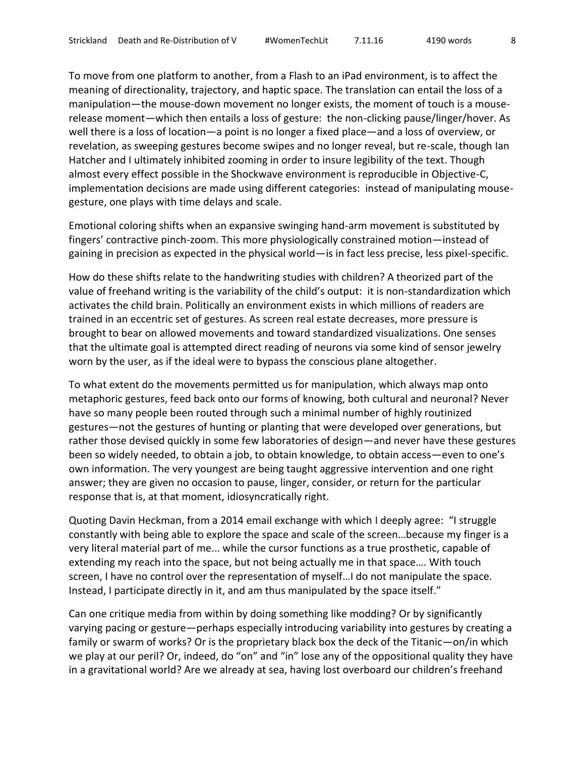To move from one platform to another, from a Flash to an iPad environment, is to affect the meaning of directionality, trajectory, and haptic space. The translation can entail the loss of a manipulation—the mouse-down movement no longer exists, the moment of touch is a mouserelease moment—which then entails a loss of gesture: the non-clicking pause/linger/hover. As well there is a loss of location—a point is no longer a fixed place—and a loss of overview, or revelation, as sweeping gestures become swipes and no longer reveal, but re-scale, though Ian Hatcher and I ultimately inhibited zooming in order to insure legibility of the text. Though almost every effect possible in the Shockwave environment is reproducible in Objective-C, implementation decisions are made using different categories: instead of manipulating mousegesture, one plays with time delays and scale.

Emotional coloring shifts when an expansive swinging hand-arm movement is substituted by fingers' contractive pinch-zoom. This more physiologically constrained motion—instead of gaining in precision as expected in the physical world—is in fact less precise, less pixel-specific.

How do these shifts relate to the handwriting studies with children? A theorized part of the value of freehand writing is the variability of the child's output: it is non-standardization which activates the child brain. Politically an environment exists in which millions of readers are trained in an eccentric set of gestures. As screen real estate decreases, more pressure is brought to bear on allowed movements and toward standardized visualizations. One senses that the ultimate goal is attempted direct reading of neurons via some kind of sensor jewelry worn by the user, as if the ideal were to bypass the conscious plane altogether.

To what extent do the movements permitted us for manipulation, which always map onto metaphoric gestures, feed back onto our forms of knowing, both cultural and neuronal? Never have so many people been routed through such a minimal number of highly routinized gestures—not the gestures of hunting or planting that were developed over generations, but rather those devised quickly in some few laboratories of design—and never have these gestures been so widely needed, to obtain a job, to obtain knowledge, to obtain access—even to one's own information. The very youngest are being taught aggressive intervention and one right answer; they are given no occasion to pause, linger, consider, or return for the particular response that is, at that moment, idiosyncratically right.

Quoting Davin Heckman, from a 2014 email exchange with which I deeply agree: "I struggle constantly with being able to explore the space and scale of the screen…because my finger is a very literal material part of me... while the cursor functions as a true prosthetic, capable of extending my reach into the space, but not being actually me in that space…. With touch screen, I have no control over the representation of myself…I do not manipulate the space. Instead, I participate directly in it, and am thus manipulated by the space itself."

Can one critique media from within by doing something like modding? Or by significantly varying pacing or gesture—perhaps especially introducing variability into gestures by creating a family or swarm of works? Or is the proprietary black box the deck of the Titanic—on/in which we play at our peril? Or, indeed, do "on" and "in" lose any of the oppositional quality they have in a gravitational world? Are we already at sea, having lost overboard our children's freehand